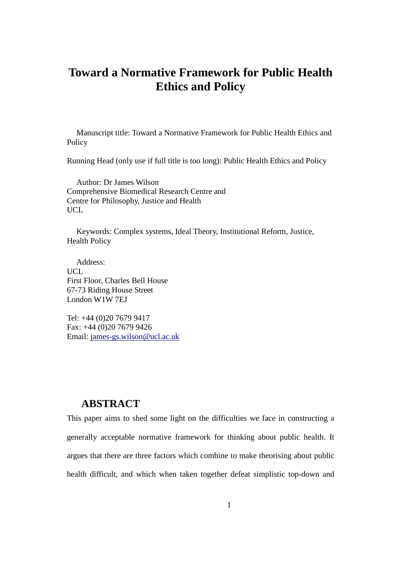# **Toward a Normative Framework for Public Health Ethics and Policy**

Manuscript title: Toward a Normative Framework for Public Health Ethics and Policy

Running Head (only use if full title is too long): Public Health Ethics and Policy

Author: Dr James Wilson Comprehensive Biomedical Research Centre and Centre for Philosophy, Justice and Health UCL.

Keywords: Complex systems, Ideal Theory, Institutional Reform, Justice, Health Policy

Address: UCL First Floor, Charles Bell House 67-73 Riding House Street London W1W 7EJ

Tel: +44 (0)20 7679 9417 Fax: +44 (0)20 7679 9426 Email: james-gs.wilson@ucl.ac.uk

### **ABSTRACT**

This paper aims to shed some light on the difficulties we face in constructing a generally acceptable normative framework for thinking about public health. It argues that there are three factors which combine to make theorising about public health difficult, and which when taken together defeat simplistic top-down and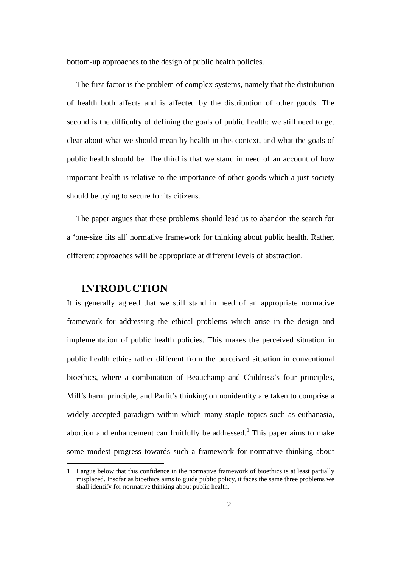bottom-up approaches to the design of public health policies.

The first factor is the problem of complex systems, namely that the distribution of health both affects and is affected by the distribution of other goods. The second is the difficulty of defining the goals of public health: we still need to get clear about what we should mean by health in this context, and what the goals of public health should be. The third is that we stand in need of an account of how important health is relative to the importance of other goods which a just society should be trying to secure for its citizens.

The paper argues that these problems should lead us to abandon the search for a 'one-size fits all' normative framework for thinking about public health. Rather, different approaches will be appropriate at different levels of abstraction.

### **INTRODUCTION**

It is generally agreed that we still stand in need of an appropriate normative framework for addressing the ethical problems which arise in the design and implementation of public health policies. This makes the perceived situation in public health ethics rather different from the perceived situation in conventional bioethics, where a combination of Beauchamp and Childress's four principles, Mill's harm principle, and Parfit's thinking on nonidentity are taken to comprise a widely accepted paradigm within which many staple topics such as euthanasia, abortion and enhancement can fruitfully be addressed.<sup>1</sup> This paper aims to make some modest progress towards such a framework for normative thinking about

<sup>1</sup> I argue below that this confidence in the normative framework of bioethics is at least partially misplaced. Insofar as bioethics aims to guide public policy, it faces the same three problems we shall identify for normative thinking about public health.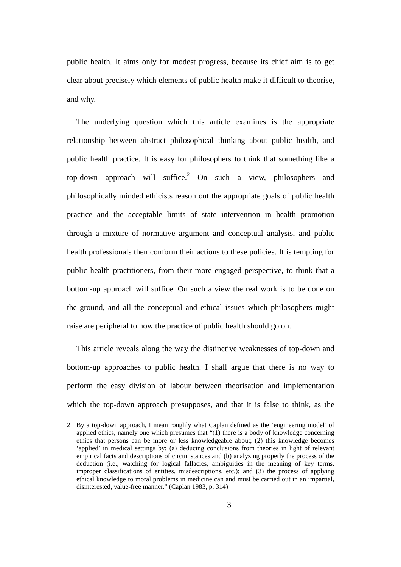public health. It aims only for modest progress, because its chief aim is to get clear about precisely which elements of public health make it difficult to theorise, and why.

The underlying question which this article examines is the appropriate relationship between abstract philosophical thinking about public health, and public health practice. It is easy for philosophers to think that something like a top-down approach will suffice.<sup>2</sup> On such a view, philosophers and philosophically minded ethicists reason out the appropriate goals of public health practice and the acceptable limits of state intervention in health promotion through a mixture of normative argument and conceptual analysis, and public health professionals then conform their actions to these policies. It is tempting for public health practitioners, from their more engaged perspective, to think that a bottom-up approach will suffice. On such a view the real work is to be done on the ground, and all the conceptual and ethical issues which philosophers might raise are peripheral to how the practice of public health should go on.

This article reveals along the way the distinctive weaknesses of top-down and bottom-up approaches to public health. I shall argue that there is no way to perform the easy division of labour between theorisation and implementation which the top-down approach presupposes, and that it is false to think, as the

<sup>2</sup> By a top-down approach, I mean roughly what Caplan defined as the 'engineering model' of applied ethics, namely one which presumes that "(1) there is a body of knowledge concerning ethics that persons can be more or less knowledgeable about; (2) this knowledge becomes 'applied' in medical settings by: (a) deducing conclusions from theories in light of relevant empirical facts and descriptions of circumstances and (b) analyzing properly the process of the deduction (i.e., watching for logical fallacies, ambiguities in the meaning of key terms, improper classifications of entities, misdescriptions, etc.); and (3) the process of applying ethical knowledge to moral problems in medicine can and must be carried out in an impartial, disinterested, value-free manner." (Caplan 1983, p. 314)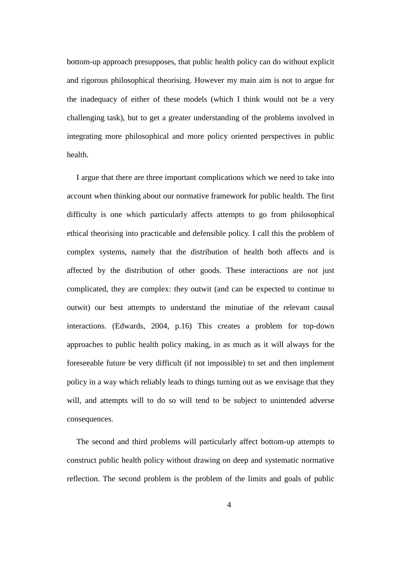bottom-up approach presupposes, that public health policy can do without explicit and rigorous philosophical theorising. However my main aim is not to argue for the inadequacy of either of these models (which I think would not be a very challenging task), but to get a greater understanding of the problems involved in integrating more philosophical and more policy oriented perspectives in public health.

I argue that there are three important complications which we need to take into account when thinking about our normative framework for public health. The first difficulty is one which particularly affects attempts to go from philosophical ethical theorising into practicable and defensible policy. I call this the problem of complex systems, namely that the distribution of health both affects and is affected by the distribution of other goods. These interactions are not just complicated, they are complex: they outwit (and can be expected to continue to outwit) our best attempts to understand the minutiae of the relevant causal interactions. (Edwards, 2004, p.16) This creates a problem for top-down approaches to public health policy making, in as much as it will always for the foreseeable future be very difficult (if not impossible) to set and then implement policy in a way which reliably leads to things turning out as we envisage that they will, and attempts will to do so will tend to be subject to unintended adverse consequences.

The second and third problems will particularly affect bottom-up attempts to construct public health policy without drawing on deep and systematic normative reflection. The second problem is the problem of the limits and goals of public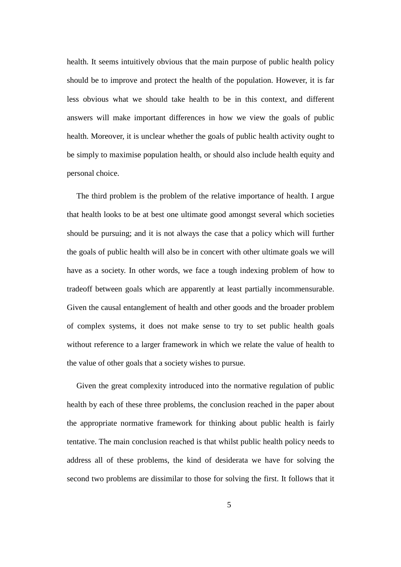health. It seems intuitively obvious that the main purpose of public health policy should be to improve and protect the health of the population. However, it is far less obvious what we should take health to be in this context, and different answers will make important differences in how we view the goals of public health. Moreover, it is unclear whether the goals of public health activity ought to be simply to maximise population health, or should also include health equity and personal choice.

The third problem is the problem of the relative importance of health. I argue that health looks to be at best one ultimate good amongst several which societies should be pursuing; and it is not always the case that a policy which will further the goals of public health will also be in concert with other ultimate goals we will have as a society. In other words, we face a tough indexing problem of how to tradeoff between goals which are apparently at least partially incommensurable. Given the causal entanglement of health and other goods and the broader problem of complex systems, it does not make sense to try to set public health goals without reference to a larger framework in which we relate the value of health to the value of other goals that a society wishes to pursue.

Given the great complexity introduced into the normative regulation of public health by each of these three problems, the conclusion reached in the paper about the appropriate normative framework for thinking about public health is fairly tentative. The main conclusion reached is that whilst public health policy needs to address all of these problems, the kind of desiderata we have for solving the second two problems are dissimilar to those for solving the first. It follows that it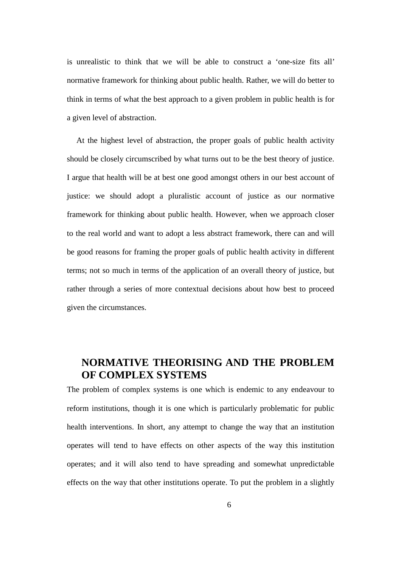is unrealistic to think that we will be able to construct a 'one-size fits all' normative framework for thinking about public health. Rather, we will do better to think in terms of what the best approach to a given problem in public health is for a given level of abstraction.

At the highest level of abstraction, the proper goals of public health activity should be closely circumscribed by what turns out to be the best theory of justice. I argue that health will be at best one good amongst others in our best account of justice: we should adopt a pluralistic account of justice as our normative framework for thinking about public health. However, when we approach closer to the real world and want to adopt a less abstract framework, there can and will be good reasons for framing the proper goals of public health activity in different terms; not so much in terms of the application of an overall theory of justice, but rather through a series of more contextual decisions about how best to proceed given the circumstances.

# **NORMATIVE THEORISING AND THE PROBLEM OF COMPLEX SYSTEMS**

The problem of complex systems is one which is endemic to any endeavour to reform institutions, though it is one which is particularly problematic for public health interventions. In short, any attempt to change the way that an institution operates will tend to have effects on other aspects of the way this institution operates; and it will also tend to have spreading and somewhat unpredictable effects on the way that other institutions operate. To put the problem in a slightly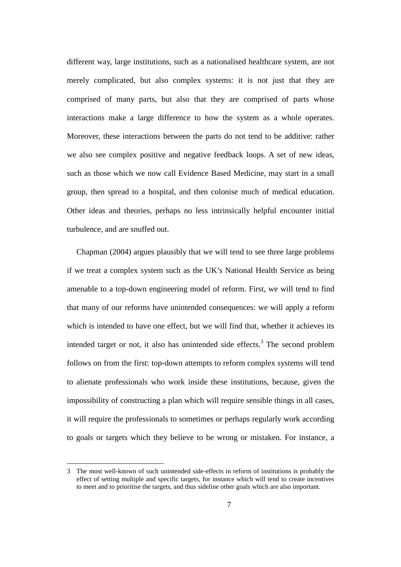different way, large institutions, such as a nationalised healthcare system, are not merely complicated, but also complex systems: it is not just that they are comprised of many parts, but also that they are comprised of parts whose interactions make a large difference to how the system as a whole operates. Moreover, these interactions between the parts do not tend to be additive: rather we also see complex positive and negative feedback loops. A set of new ideas, such as those which we now call Evidence Based Medicine, may start in a small group, then spread to a hospital, and then colonise much of medical education. Other ideas and theories, perhaps no less intrinsically helpful encounter initial turbulence, and are snuffed out.

Chapman (2004) argues plausibly that we will tend to see three large problems if we treat a complex system such as the UK's National Health Service as being amenable to a top-down engineering model of reform. First, we will tend to find that many of our reforms have unintended consequences: we will apply a reform which is intended to have one effect, but we will find that, whether it achieves its intended target or not, it also has unintended side effects.<sup>3</sup> The second problem follows on from the first: top-down attempts to reform complex systems will tend to alienate professionals who work inside these institutions, because, given the impossibility of constructing a plan which will require sensible things in all cases, it will require the professionals to sometimes or perhaps regularly work according to goals or targets which they believe to be wrong or mistaken. For instance, a

<sup>3</sup> The most well-known of such unintended side-effects in reform of institutions is probably the effect of setting multiple and specific targets, for instance which will tend to create incentives to meet and to prioritise the targets, and thus sideline other goals which are also important.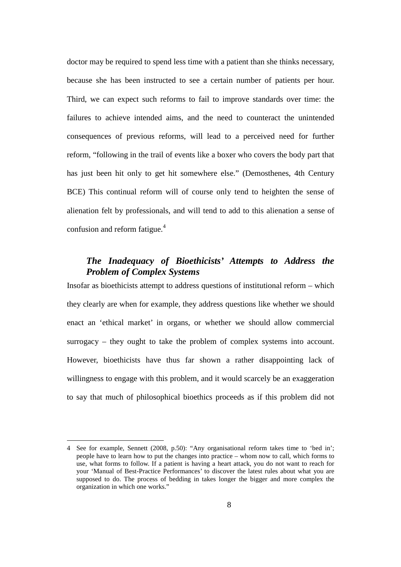doctor may be required to spend less time with a patient than she thinks necessary, because she has been instructed to see a certain number of patients per hour. Third, we can expect such reforms to fail to improve standards over time: the failures to achieve intended aims, and the need to counteract the unintended consequences of previous reforms, will lead to a perceived need for further reform, "following in the trail of events like a boxer who covers the body part that has just been hit only to get hit somewhere else." (Demosthenes, 4th Century BCE) This continual reform will of course only tend to heighten the sense of alienation felt by professionals, and will tend to add to this alienation a sense of confusion and reform fatigue.<sup>4</sup>

### *The Inadequacy of Bioethicists' Attempts to Address the Problem of Complex Systems*

Insofar as bioethicists attempt to address questions of institutional reform – which they clearly are when for example, they address questions like whether we should enact an 'ethical market' in organs, or whether we should allow commercial surrogacy – they ought to take the problem of complex systems into account. However, bioethicists have thus far shown a rather disappointing lack of willingness to engage with this problem, and it would scarcely be an exaggeration to say that much of philosophical bioethics proceeds as if this problem did not

<sup>4</sup> See for example, Sennett (2008, p.50): "Any organisational reform takes time to 'bed in'; people have to learn how to put the changes into practice – whom now to call, which forms to use, what forms to follow. If a patient is having a heart attack, you do not want to reach for your 'Manual of Best-Practice Performances' to discover the latest rules about what you are supposed to do. The process of bedding in takes longer the bigger and more complex the organization in which one works."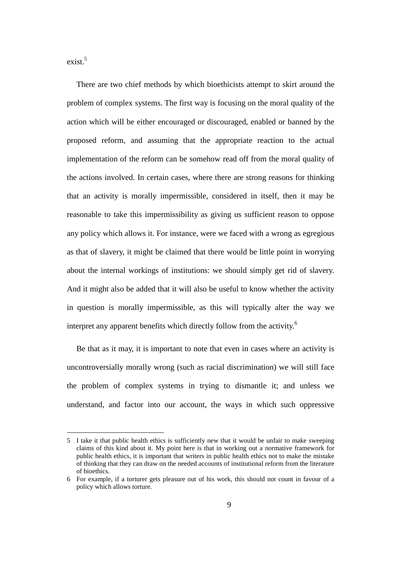$exist.<sup>5</sup>$ 

There are two chief methods by which bioethicists attempt to skirt around the problem of complex systems. The first way is focusing on the moral quality of the action which will be either encouraged or discouraged, enabled or banned by the proposed reform, and assuming that the appropriate reaction to the actual implementation of the reform can be somehow read off from the moral quality of the actions involved. In certain cases, where there are strong reasons for thinking that an activity is morally impermissible, considered in itself, then it may be reasonable to take this impermissibility as giving us sufficient reason to oppose any policy which allows it. For instance, were we faced with a wrong as egregious as that of slavery, it might be claimed that there would be little point in worrying about the internal workings of institutions: we should simply get rid of slavery. And it might also be added that it will also be useful to know whether the activity in question is morally impermissible, as this will typically alter the way we interpret any apparent benefits which directly follow from the activity.<sup>6</sup>

Be that as it may, it is important to note that even in cases where an activity is uncontroversially morally wrong (such as racial discrimination) we will still face the problem of complex systems in trying to dismantle it; and unless we understand, and factor into our account, the ways in which such oppressive

<sup>5</sup> I take it that public health ethics is sufficiently new that it would be unfair to make sweeping claims of this kind about it. My point here is that in working out a normative framework for public health ethics, it is important that writers in public health ethics not to make the mistake of thinking that they can draw on the needed accounts of institutional reform from the literature of bioethics.

<sup>6</sup> For example, if a torturer gets pleasure out of his work, this should not count in favour of a policy which allows torture.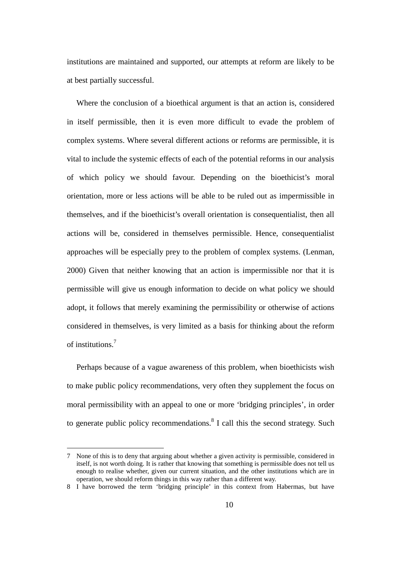institutions are maintained and supported, our attempts at reform are likely to be at best partially successful.

Where the conclusion of a bioethical argument is that an action is, considered in itself permissible, then it is even more difficult to evade the problem of complex systems. Where several different actions or reforms are permissible, it is vital to include the systemic effects of each of the potential reforms in our analysis of which policy we should favour. Depending on the bioethicist's moral orientation, more or less actions will be able to be ruled out as impermissible in themselves, and if the bioethicist's overall orientation is consequentialist, then all actions will be, considered in themselves permissible. Hence, consequentialist approaches will be especially prey to the problem of complex systems. (Lenman, 2000) Given that neither knowing that an action is impermissible nor that it is permissible will give us enough information to decide on what policy we should adopt, it follows that merely examining the permissibility or otherwise of actions considered in themselves, is very limited as a basis for thinking about the reform of institutions.<sup>7</sup>

Perhaps because of a vague awareness of this problem, when bioethicists wish to make public policy recommendations, very often they supplement the focus on moral permissibility with an appeal to one or more 'bridging principles', in order to generate public policy recommendations.<sup>8</sup> I call this the second strategy. Such

<sup>7</sup> None of this is to deny that arguing about whether a given activity is permissible, considered in itself, is not worth doing. It is rather that knowing that something is permissible does not tell us enough to realise whether, given our current situation, and the other institutions which are in operation, we should reform things in this way rather than a different way.

<sup>8</sup> I have borrowed the term 'bridging principle' in this context from Habermas, but have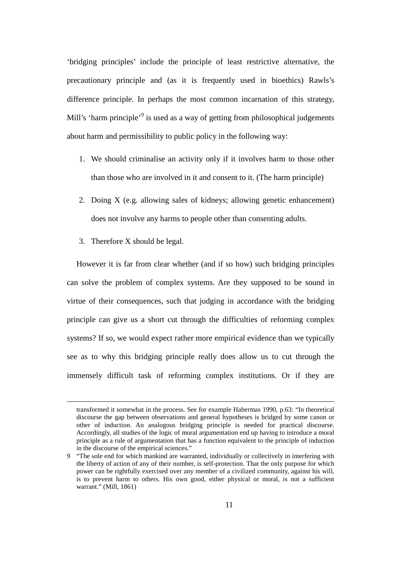'bridging principles' include the principle of least restrictive alternative, the precautionary principle and (as it is frequently used in bioethics) Rawls's difference principle. In perhaps the most common incarnation of this strategy, Mill's 'harm principle'<sup>9</sup> is used as a way of getting from philosophical judgements about harm and permissibility to public policy in the following way:

- 1. We should criminalise an activity only if it involves harm to those other than those who are involved in it and consent to it. (The harm principle)
- 2. Doing X (e.g. allowing sales of kidneys; allowing genetic enhancement) does not involve any harms to people other than consenting adults.
- 3. Therefore X should be legal.

However it is far from clear whether (and if so how) such bridging principles can solve the problem of complex systems. Are they supposed to be sound in virtue of their consequences, such that judging in accordance with the bridging principle can give us a short cut through the difficulties of reforming complex systems? If so, we would expect rather more empirical evidence than we typically see as to why this bridging principle really does allow us to cut through the immensely difficult task of reforming complex institutions. Or if they are

transformed it somewhat in the process. See for example Habermas 1990, p.63: "In theoretical discourse the gap between observations and general hypotheses is bridged by some canon or other of induction. An analogous bridging principle is needed for practical discourse. Accordingly, all studies of the logic of moral argumentation end up having to introduce a moral principle as a rule of argumentation that has a function equivalent to the principle of induction in the discourse of the empirical sciences."

<sup>9</sup> "The sole end for which mankind are warranted, individually or collectively in interfering with the liberty of action of any of their number, is self-protection. That the only purpose for which power can be rightfully exercised over any member of a civilized community, against his will, is to prevent harm to others. His own good, either physical or moral, is not a sufficient warrant." (Mill, 1861)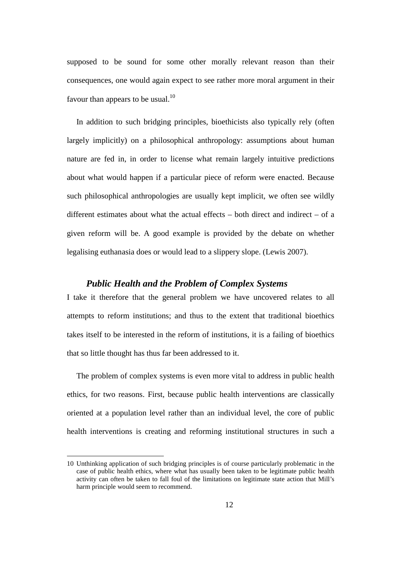supposed to be sound for some other morally relevant reason than their consequences, one would again expect to see rather more moral argument in their favour than appears to be usual. $^{10}$ 

In addition to such bridging principles, bioethicists also typically rely (often largely implicitly) on a philosophical anthropology: assumptions about human nature are fed in, in order to license what remain largely intuitive predictions about what would happen if a particular piece of reform were enacted. Because such philosophical anthropologies are usually kept implicit, we often see wildly different estimates about what the actual effects – both direct and indirect – of a given reform will be. A good example is provided by the debate on whether legalising euthanasia does or would lead to a slippery slope. (Lewis 2007).

#### *Public Health and the Problem of Complex Systems*

I take it therefore that the general problem we have uncovered relates to all attempts to reform institutions; and thus to the extent that traditional bioethics takes itself to be interested in the reform of institutions, it is a failing of bioethics that so little thought has thus far been addressed to it.

The problem of complex systems is even more vital to address in public health ethics, for two reasons. First, because public health interventions are classically oriented at a population level rather than an individual level, the core of public health interventions is creating and reforming institutional structures in such a

<sup>10</sup> Unthinking application of such bridging principles is of course particularly problematic in the case of public health ethics, where what has usually been taken to be legitimate public health activity can often be taken to fall foul of the limitations on legitimate state action that Mill's harm principle would seem to recommend.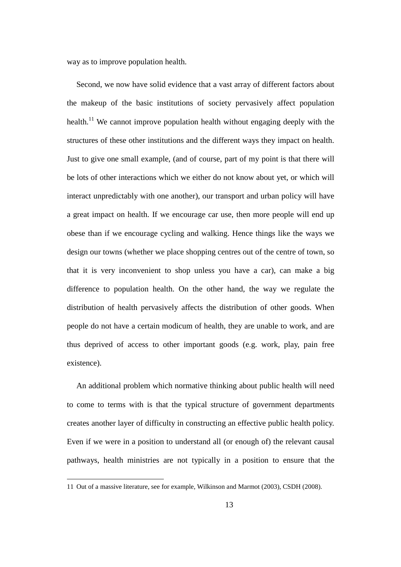way as to improve population health.

Second, we now have solid evidence that a vast array of different factors about the makeup of the basic institutions of society pervasively affect population health.<sup>11</sup> We cannot improve population health without engaging deeply with the structures of these other institutions and the different ways they impact on health. Just to give one small example, (and of course, part of my point is that there will be lots of other interactions which we either do not know about yet, or which will interact unpredictably with one another), our transport and urban policy will have a great impact on health. If we encourage car use, then more people will end up obese than if we encourage cycling and walking. Hence things like the ways we design our towns (whether we place shopping centres out of the centre of town, so that it is very inconvenient to shop unless you have a car), can make a big difference to population health. On the other hand, the way we regulate the distribution of health pervasively affects the distribution of other goods. When people do not have a certain modicum of health, they are unable to work, and are thus deprived of access to other important goods (e.g. work, play, pain free existence).

An additional problem which normative thinking about public health will need to come to terms with is that the typical structure of government departments creates another layer of difficulty in constructing an effective public health policy. Even if we were in a position to understand all (or enough of) the relevant causal pathways, health ministries are not typically in a position to ensure that the

<sup>11</sup> Out of a massive literature, see for example, Wilkinson and Marmot (2003), CSDH (2008).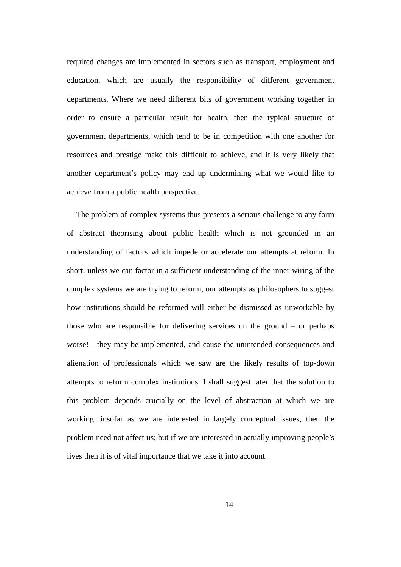required changes are implemented in sectors such as transport, employment and education, which are usually the responsibility of different government departments. Where we need different bits of government working together in order to ensure a particular result for health, then the typical structure of government departments, which tend to be in competition with one another for resources and prestige make this difficult to achieve, and it is very likely that another department's policy may end up undermining what we would like to achieve from a public health perspective.

The problem of complex systems thus presents a serious challenge to any form of abstract theorising about public health which is not grounded in an understanding of factors which impede or accelerate our attempts at reform. In short, unless we can factor in a sufficient understanding of the inner wiring of the complex systems we are trying to reform, our attempts as philosophers to suggest how institutions should be reformed will either be dismissed as unworkable by those who are responsible for delivering services on the ground – or perhaps worse! - they may be implemented, and cause the unintended consequences and alienation of professionals which we saw are the likely results of top-down attempts to reform complex institutions. I shall suggest later that the solution to this problem depends crucially on the level of abstraction at which we are working: insofar as we are interested in largely conceptual issues, then the problem need not affect us; but if we are interested in actually improving people's lives then it is of vital importance that we take it into account.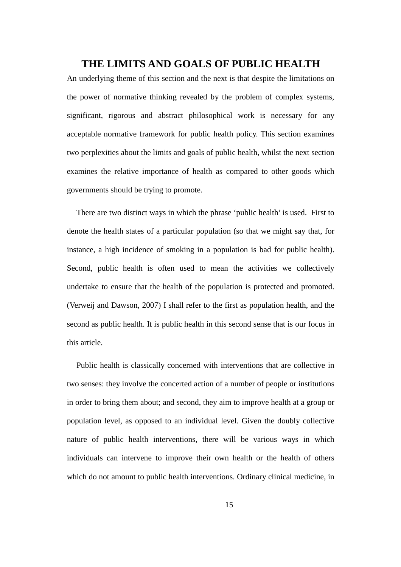### **THE LIMITS AND GOALS OF PUBLIC HEALTH**

An underlying theme of this section and the next is that despite the limitations on the power of normative thinking revealed by the problem of complex systems, significant, rigorous and abstract philosophical work is necessary for any acceptable normative framework for public health policy. This section examines two perplexities about the limits and goals of public health, whilst the next section examines the relative importance of health as compared to other goods which governments should be trying to promote.

There are two distinct ways in which the phrase 'public health' is used. First to denote the health states of a particular population (so that we might say that, for instance, a high incidence of smoking in a population is bad for public health). Second, public health is often used to mean the activities we collectively undertake to ensure that the health of the population is protected and promoted. (Verweij and Dawson, 2007) I shall refer to the first as population health, and the second as public health. It is public health in this second sense that is our focus in this article.

Public health is classically concerned with interventions that are collective in two senses: they involve the concerted action of a number of people or institutions in order to bring them about; and second, they aim to improve health at a group or population level, as opposed to an individual level. Given the doubly collective nature of public health interventions, there will be various ways in which individuals can intervene to improve their own health or the health of others which do not amount to public health interventions. Ordinary clinical medicine, in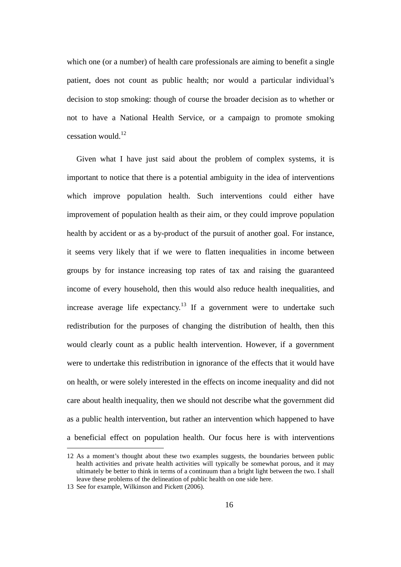which one (or a number) of health care professionals are aiming to benefit a single patient, does not count as public health; nor would a particular individual's decision to stop smoking: though of course the broader decision as to whether or not to have a National Health Service, or a campaign to promote smoking cessation would.<sup>12</sup>

Given what I have just said about the problem of complex systems, it is important to notice that there is a potential ambiguity in the idea of interventions which improve population health. Such interventions could either have improvement of population health as their aim, or they could improve population health by accident or as a by-product of the pursuit of another goal. For instance, it seems very likely that if we were to flatten inequalities in income between groups by for instance increasing top rates of tax and raising the guaranteed income of every household, then this would also reduce health inequalities, and increase average life expectancy.<sup>13</sup> If a government were to undertake such redistribution for the purposes of changing the distribution of health, then this would clearly count as a public health intervention. However, if a government were to undertake this redistribution in ignorance of the effects that it would have on health, or were solely interested in the effects on income inequality and did not care about health inequality, then we should not describe what the government did as a public health intervention, but rather an intervention which happened to have a beneficial effect on population health. Our focus here is with interventions

<sup>12</sup> As a moment's thought about these two examples suggests, the boundaries between public health activities and private health activities will typically be somewhat porous, and it may ultimately be better to think in terms of a continuum than a bright light between the two. I shall leave these problems of the delineation of public health on one side here.

<sup>13</sup> See for example, Wilkinson and Pickett (2006).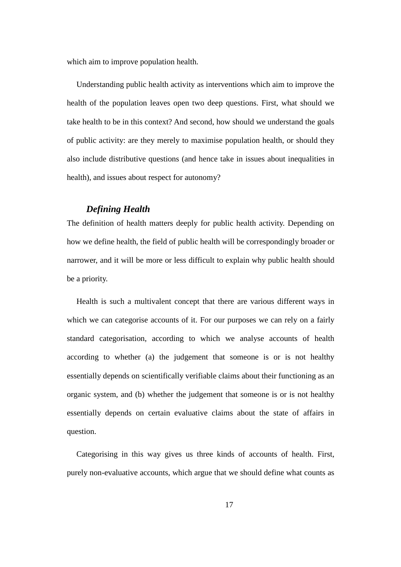which aim to improve population health.

Understanding public health activity as interventions which aim to improve the health of the population leaves open two deep questions. First, what should we take health to be in this context? And second, how should we understand the goals of public activity: are they merely to maximise population health, or should they also include distributive questions (and hence take in issues about inequalities in health), and issues about respect for autonomy?

#### *Defining Health*

The definition of health matters deeply for public health activity. Depending on how we define health, the field of public health will be correspondingly broader or narrower, and it will be more or less difficult to explain why public health should be a priority.

Health is such a multivalent concept that there are various different ways in which we can categorise accounts of it. For our purposes we can rely on a fairly standard categorisation, according to which we analyse accounts of health according to whether (a) the judgement that someone is or is not healthy essentially depends on scientifically verifiable claims about their functioning as an organic system, and (b) whether the judgement that someone is or is not healthy essentially depends on certain evaluative claims about the state of affairs in question.

Categorising in this way gives us three kinds of accounts of health. First, purely non-evaluative accounts, which argue that we should define what counts as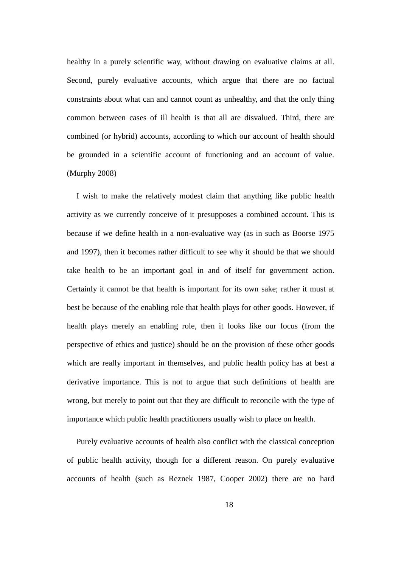healthy in a purely scientific way, without drawing on evaluative claims at all. Second, purely evaluative accounts, which argue that there are no factual constraints about what can and cannot count as unhealthy, and that the only thing common between cases of ill health is that all are disvalued. Third, there are combined (or hybrid) accounts, according to which our account of health should be grounded in a scientific account of functioning and an account of value. (Murphy 2008)

I wish to make the relatively modest claim that anything like public health activity as we currently conceive of it presupposes a combined account. This is because if we define health in a non-evaluative way (as in such as Boorse 1975 and 1997), then it becomes rather difficult to see why it should be that we should take health to be an important goal in and of itself for government action. Certainly it cannot be that health is important for its own sake; rather it must at best be because of the enabling role that health plays for other goods. However, if health plays merely an enabling role, then it looks like our focus (from the perspective of ethics and justice) should be on the provision of these other goods which are really important in themselves, and public health policy has at best a derivative importance. This is not to argue that such definitions of health are wrong, but merely to point out that they are difficult to reconcile with the type of importance which public health practitioners usually wish to place on health.

Purely evaluative accounts of health also conflict with the classical conception of public health activity, though for a different reason. On purely evaluative accounts of health (such as Reznek 1987, Cooper 2002) there are no hard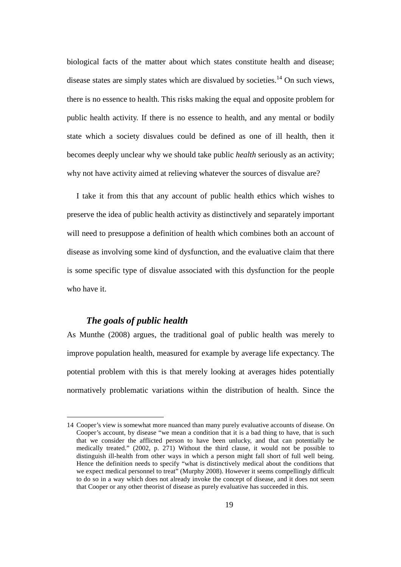biological facts of the matter about which states constitute health and disease; disease states are simply states which are disvalued by societies.<sup>14</sup> On such views, there is no essence to health. This risks making the equal and opposite problem for public health activity. If there is no essence to health, and any mental or bodily state which a society disvalues could be defined as one of ill health, then it becomes deeply unclear why we should take public *health* seriously as an activity; why not have activity aimed at relieving whatever the sources of disvalue are?

I take it from this that any account of public health ethics which wishes to preserve the idea of public health activity as distinctively and separately important will need to presuppose a definition of health which combines both an account of disease as involving some kind of dysfunction, and the evaluative claim that there is some specific type of disvalue associated with this dysfunction for the people who have it.

#### *The goals of public health*

As Munthe (2008) argues, the traditional goal of public health was merely to improve population health, measured for example by average life expectancy. The potential problem with this is that merely looking at averages hides potentially normatively problematic variations within the distribution of health. Since the

<sup>14</sup> Cooper's view is somewhat more nuanced than many purely evaluative accounts of disease. On Cooper's account, by disease "we mean a condition that it is a bad thing to have, that is such that we consider the afflicted person to have been unlucky, and that can potentially be medically treated." (2002, p. 271) Without the third clause, it would not be possible to distinguish ill-health from other ways in which a person might fall short of full well being. Hence the definition needs to specify "what is distinctively medical about the conditions that we expect medical personnel to treat" (Murphy 2008). However it seems compellingly difficult to do so in a way which does not already invoke the concept of disease, and it does not seem that Cooper or any other theorist of disease as purely evaluative has succeeded in this.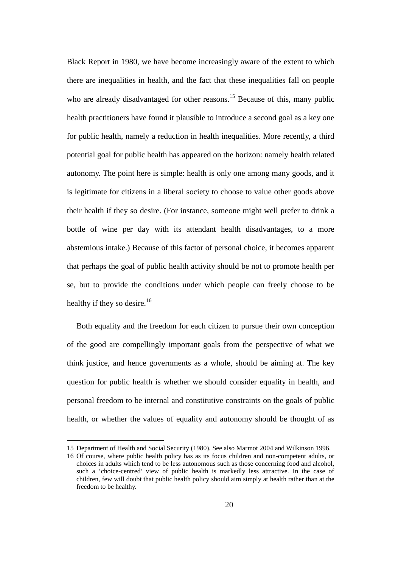Black Report in 1980, we have become increasingly aware of the extent to which there are inequalities in health, and the fact that these inequalities fall on people who are already disadvantaged for other reasons.<sup>15</sup> Because of this, many public health practitioners have found it plausible to introduce a second goal as a key one for public health, namely a reduction in health inequalities. More recently, a third potential goal for public health has appeared on the horizon: namely health related autonomy. The point here is simple: health is only one among many goods, and it is legitimate for citizens in a liberal society to choose to value other goods above their health if they so desire. (For instance, someone might well prefer to drink a bottle of wine per day with its attendant health disadvantages, to a more abstemious intake.) Because of this factor of personal choice, it becomes apparent that perhaps the goal of public health activity should be not to promote health per se, but to provide the conditions under which people can freely choose to be healthy if they so desire.<sup>16</sup>

Both equality and the freedom for each citizen to pursue their own conception of the good are compellingly important goals from the perspective of what we think justice, and hence governments as a whole, should be aiming at. The key question for public health is whether we should consider equality in health, and personal freedom to be internal and constitutive constraints on the goals of public health, or whether the values of equality and autonomy should be thought of as

<sup>15</sup> Department of Health and Social Security (1980). See also Marmot 2004 and Wilkinson 1996.

<sup>16</sup> Of course, where public health policy has as its focus children and non-competent adults, or choices in adults which tend to be less autonomous such as those concerning food and alcohol, such a 'choice-centred' view of public health is markedly less attractive. In the case of children, few will doubt that public health policy should aim simply at health rather than at the freedom to be healthy.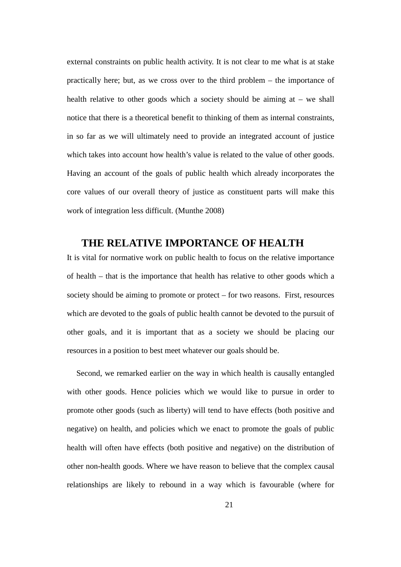external constraints on public health activity. It is not clear to me what is at stake practically here; but, as we cross over to the third problem – the importance of health relative to other goods which a society should be aiming at – we shall notice that there is a theoretical benefit to thinking of them as internal constraints, in so far as we will ultimately need to provide an integrated account of justice which takes into account how health's value is related to the value of other goods. Having an account of the goals of public health which already incorporates the core values of our overall theory of justice as constituent parts will make this work of integration less difficult. (Munthe 2008)

### **THE RELATIVE IMPORTANCE OF HEALTH**

It is vital for normative work on public health to focus on the relative importance of health – that is the importance that health has relative to other goods which a society should be aiming to promote or protect – for two reasons. First, resources which are devoted to the goals of public health cannot be devoted to the pursuit of other goals, and it is important that as a society we should be placing our resources in a position to best meet whatever our goals should be.

Second, we remarked earlier on the way in which health is causally entangled with other goods. Hence policies which we would like to pursue in order to promote other goods (such as liberty) will tend to have effects (both positive and negative) on health, and policies which we enact to promote the goals of public health will often have effects (both positive and negative) on the distribution of other non-health goods. Where we have reason to believe that the complex causal relationships are likely to rebound in a way which is favourable (where for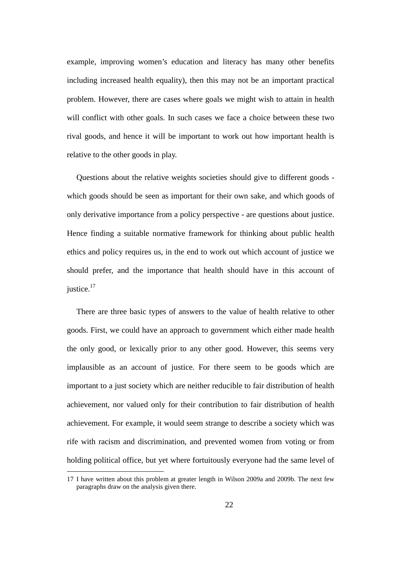example, improving women's education and literacy has many other benefits including increased health equality), then this may not be an important practical problem. However, there are cases where goals we might wish to attain in health will conflict with other goals. In such cases we face a choice between these two rival goods, and hence it will be important to work out how important health is relative to the other goods in play.

Questions about the relative weights societies should give to different goods which goods should be seen as important for their own sake, and which goods of only derivative importance from a policy perspective - are questions about justice. Hence finding a suitable normative framework for thinking about public health ethics and policy requires us, in the end to work out which account of justice we should prefer, and the importance that health should have in this account of justice.<sup>17</sup>

There are three basic types of answers to the value of health relative to other goods. First, we could have an approach to government which either made health the only good, or lexically prior to any other good. However, this seems very implausible as an account of justice. For there seem to be goods which are important to a just society which are neither reducible to fair distribution of health achievement, nor valued only for their contribution to fair distribution of health achievement. For example, it would seem strange to describe a society which was rife with racism and discrimination, and prevented women from voting or from holding political office, but yet where fortuitously everyone had the same level of

<sup>17</sup> I have written about this problem at greater length in Wilson 2009a and 2009b. The next few paragraphs draw on the analysis given there.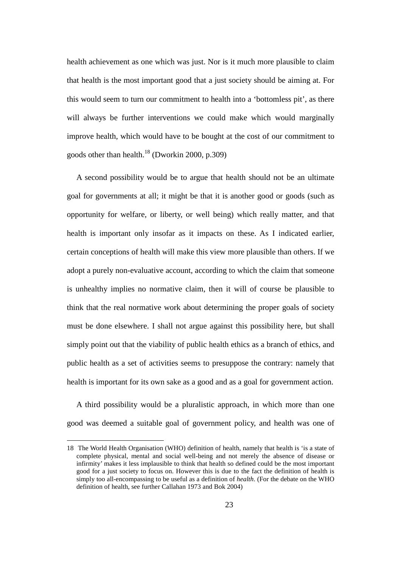health achievement as one which was just. Nor is it much more plausible to claim that health is the most important good that a just society should be aiming at. For this would seem to turn our commitment to health into a 'bottomless pit', as there will always be further interventions we could make which would marginally improve health, which would have to be bought at the cost of our commitment to goods other than health. $^{18}$  (Dworkin 2000, p.309)

A second possibility would be to argue that health should not be an ultimate goal for governments at all; it might be that it is another good or goods (such as opportunity for welfare, or liberty, or well being) which really matter, and that health is important only insofar as it impacts on these. As I indicated earlier, certain conceptions of health will make this view more plausible than others. If we adopt a purely non-evaluative account, according to which the claim that someone is unhealthy implies no normative claim, then it will of course be plausible to think that the real normative work about determining the proper goals of society must be done elsewhere. I shall not argue against this possibility here, but shall simply point out that the viability of public health ethics as a branch of ethics, and public health as a set of activities seems to presuppose the contrary: namely that health is important for its own sake as a good and as a goal for government action.

A third possibility would be a pluralistic approach, in which more than one good was deemed a suitable goal of government policy, and health was one of

<sup>18</sup> The World Health Organisation (WHO) definition of health, namely that health is 'is a state of complete physical, mental and social well-being and not merely the absence of disease or infirmity' makes it less implausible to think that health so defined could be the most important good for a just society to focus on. However this is due to the fact the definition of health is simply too all-encompassing to be useful as a definition of *health*. (For the debate on the WHO definition of health, see further Callahan 1973 and Bok 2004)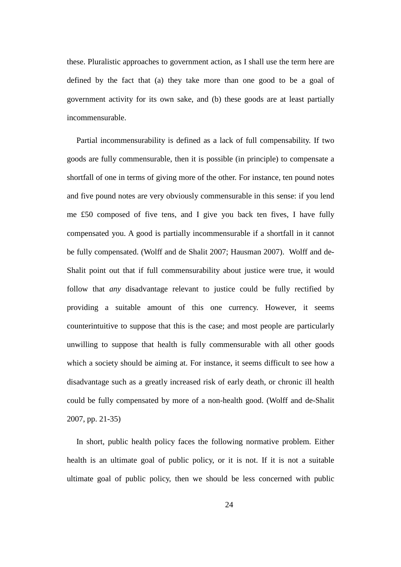these. Pluralistic approaches to government action, as I shall use the term here are defined by the fact that (a) they take more than one good to be a goal of government activity for its own sake, and (b) these goods are at least partially incommensurable.

Partial incommensurability is defined as a lack of full compensability. If two goods are fully commensurable, then it is possible (in principle) to compensate a shortfall of one in terms of giving more of the other. For instance, ten pound notes and five pound notes are very obviously commensurable in this sense: if you lend me £50 composed of five tens, and I give you back ten fives, I have fully compensated you. A good is partially incommensurable if a shortfall in it cannot be fully compensated. (Wolff and de Shalit 2007; Hausman 2007). Wolff and de-Shalit point out that if full commensurability about justice were true, it would follow that *any* disadvantage relevant to justice could be fully rectified by providing a suitable amount of this one currency. However, it seems counterintuitive to suppose that this is the case; and most people are particularly unwilling to suppose that health is fully commensurable with all other goods which a society should be aiming at. For instance, it seems difficult to see how a disadvantage such as a greatly increased risk of early death, or chronic ill health could be fully compensated by more of a non-health good. (Wolff and de-Shalit 2007, pp. 21-35)

In short, public health policy faces the following normative problem. Either health is an ultimate goal of public policy, or it is not. If it is not a suitable ultimate goal of public policy, then we should be less concerned with public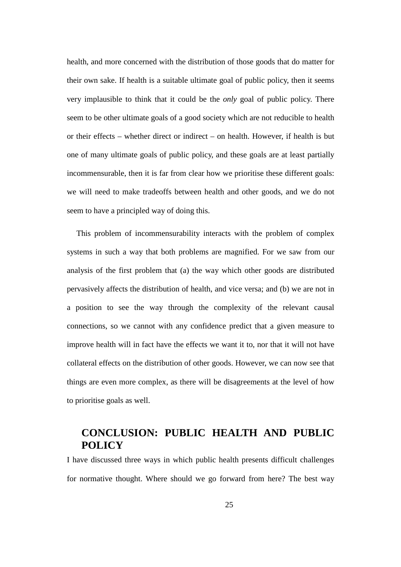health, and more concerned with the distribution of those goods that do matter for their own sake. If health is a suitable ultimate goal of public policy, then it seems very implausible to think that it could be the *only* goal of public policy. There seem to be other ultimate goals of a good society which are not reducible to health or their effects – whether direct or indirect – on health. However, if health is but one of many ultimate goals of public policy, and these goals are at least partially incommensurable, then it is far from clear how we prioritise these different goals: we will need to make tradeoffs between health and other goods, and we do not seem to have a principled way of doing this.

This problem of incommensurability interacts with the problem of complex systems in such a way that both problems are magnified. For we saw from our analysis of the first problem that (a) the way which other goods are distributed pervasively affects the distribution of health, and vice versa; and (b) we are not in a position to see the way through the complexity of the relevant causal connections, so we cannot with any confidence predict that a given measure to improve health will in fact have the effects we want it to, nor that it will not have collateral effects on the distribution of other goods. However, we can now see that things are even more complex, as there will be disagreements at the level of how to prioritise goals as well.

## **CONCLUSION: PUBLIC HEALTH AND PUBLIC POLICY**

I have discussed three ways in which public health presents difficult challenges for normative thought. Where should we go forward from here? The best way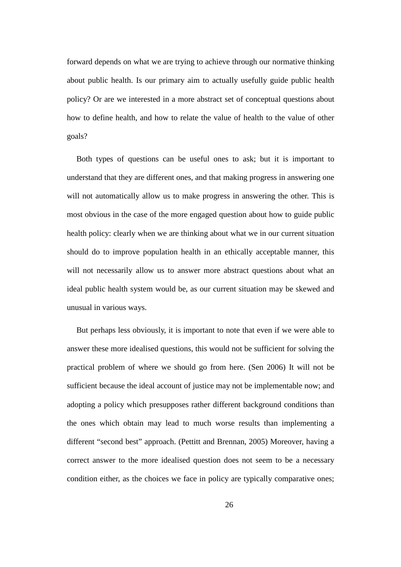forward depends on what we are trying to achieve through our normative thinking about public health. Is our primary aim to actually usefully guide public health policy? Or are we interested in a more abstract set of conceptual questions about how to define health, and how to relate the value of health to the value of other goals?

Both types of questions can be useful ones to ask; but it is important to understand that they are different ones, and that making progress in answering one will not automatically allow us to make progress in answering the other. This is most obvious in the case of the more engaged question about how to guide public health policy: clearly when we are thinking about what we in our current situation should do to improve population health in an ethically acceptable manner, this will not necessarily allow us to answer more abstract questions about what an ideal public health system would be, as our current situation may be skewed and unusual in various ways.

But perhaps less obviously, it is important to note that even if we were able to answer these more idealised questions, this would not be sufficient for solving the practical problem of where we should go from here. (Sen 2006) It will not be sufficient because the ideal account of justice may not be implementable now; and adopting a policy which presupposes rather different background conditions than the ones which obtain may lead to much worse results than implementing a different "second best" approach. (Pettitt and Brennan, 2005) Moreover, having a correct answer to the more idealised question does not seem to be a necessary condition either, as the choices we face in policy are typically comparative ones;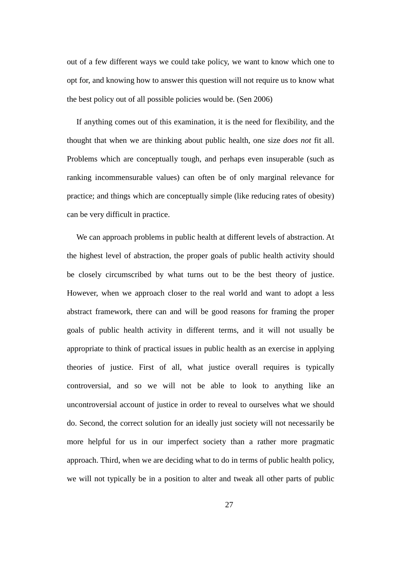out of a few different ways we could take policy, we want to know which one to opt for, and knowing how to answer this question will not require us to know what the best policy out of all possible policies would be. (Sen 2006)

If anything comes out of this examination, it is the need for flexibility, and the thought that when we are thinking about public health, one size *does not* fit all. Problems which are conceptually tough, and perhaps even insuperable (such as ranking incommensurable values) can often be of only marginal relevance for practice; and things which are conceptually simple (like reducing rates of obesity) can be very difficult in practice.

We can approach problems in public health at different levels of abstraction. At the highest level of abstraction, the proper goals of public health activity should be closely circumscribed by what turns out to be the best theory of justice. However, when we approach closer to the real world and want to adopt a less abstract framework, there can and will be good reasons for framing the proper goals of public health activity in different terms, and it will not usually be appropriate to think of practical issues in public health as an exercise in applying theories of justice. First of all, what justice overall requires is typically controversial, and so we will not be able to look to anything like an uncontroversial account of justice in order to reveal to ourselves what we should do. Second, the correct solution for an ideally just society will not necessarily be more helpful for us in our imperfect society than a rather more pragmatic approach. Third, when we are deciding what to do in terms of public health policy, we will not typically be in a position to alter and tweak all other parts of public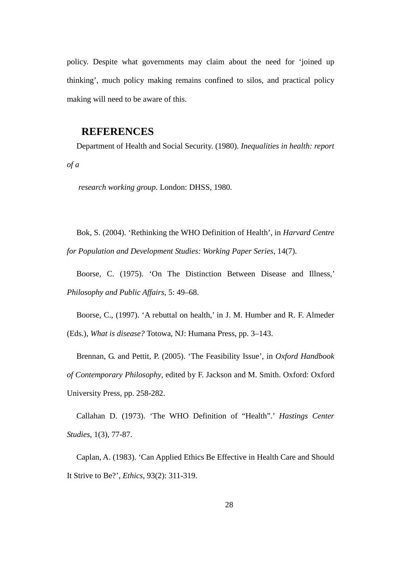policy. Despite what governments may claim about the need for 'joined up thinking', much policy making remains confined to silos, and practical policy making will need to be aware of this.

### **REFERENCES**

Department of Health and Social Security. (1980). *Inequalities in health: report of a*

*research working group*. London: DHSS, 1980.

Bok, S. (2004). 'Rethinking the WHO Definition of Health', in *Harvard Centre for Population and Development Studies: Working Paper Series*, 14(7).

Boorse, C. (1975). 'On The Distinction Between Disease and Illness,' *Philosophy and Public Affairs*, 5: 49–68.

Boorse, C., (1997). 'A rebuttal on health,' in J. M. Humber and R. F. Almeder (Eds.), *What is disease?* Totowa, NJ: Humana Press, pp. 3–143.

Brennan, G. and Pettit, P. (2005). 'The Feasibility Issue', in *Oxford Handbook of Contemporary Philosophy*, edited by F. Jackson and M. Smith. Oxford: Oxford University Press, pp. 258-282.

Callahan D. (1973). 'The WHO Definition of "Health".' *Hastings Center Studies*, 1(3), 77-87.

Caplan, A. (1983). 'Can Applied Ethics Be Effective in Health Care and Should It Strive to Be?', *Ethics*, 93(2): 311-319.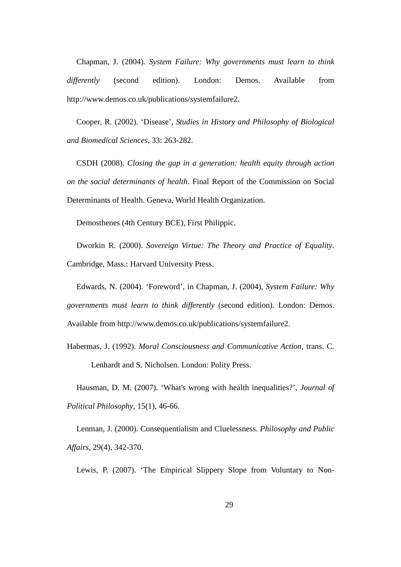Chapman, J. (2004). *System Failure: Why governments must learn to think differently* (second edition). London: Demos. Available from http://www.demos.co.uk/publications/systemfailure2.

Cooper, R. (2002). 'Disease', *Studies in History and Philosophy of Biological and Biomedical Sciences,* 33: 263-282.

CSDH (2008). *Closing the gap in a generation: health equity through action on the social determinants of health*. Final Report of the Commission on Social Determinants of Health. Geneva, World Health Organization.

Demosthenes (4th Century BCE), First Philippic.

Dworkin R. (2000). *Sovereign Virtue: The Theory and Practice of Equality*. Cambridge, Mass.: Harvard University Press.

Edwards, N. (2004). 'Foreword', in Chapman, J. (2004), *System Failure: Why governments must learn to think differently* (second edition). London: Demos. Available from http://www.demos.co.uk/publications/systemfailure2.

Habermas, J. (1992). *Moral Consciousness and Communicative Action,* trans. C. Lenhardt and S. Nicholsen. London: Polity Press.

Hausman, D. M. (2007). 'What's wrong with health inequalities?', *Journal of Political Philosophy*, 15(1), 46-66.

Lenman, J. (2000). Consequentialism and Cluelessness. *Philosophy and Public Affairs*, 29(4), 342-370.

Lewis, P. (2007). 'The Empirical Slippery Slope from Voluntary to Non-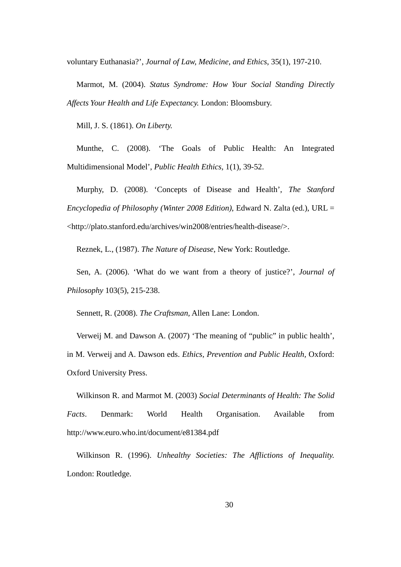voluntary Euthanasia?', *Journal of Law, Medicine, and Ethics*, 35(1), 197-210.

Marmot, M. (2004). *Status Syndrome: How Your Social Standing Directly Affects Your Health and Life Expectancy.* London: Bloomsbury.

Mill, J. S. (1861). *On Liberty.*

Munthe, C. (2008). 'The Goals of Public Health: An Integrated Multidimensional Model', *Public Health Ethics,* 1(1), 39-52.

Murphy, D. (2008). 'Concepts of Disease and Health', *The Stanford Encyclopedia of Philosophy (Winter 2008 Edition)*, Edward N. Zalta (ed.), URL = <http://plato.stanford.edu/archives/win2008/entries/health-disease/>.

Reznek, L., (1987). *The Nature of Disease*, New York: Routledge.

Sen, A. (2006). 'What do we want from a theory of justice?', *Journal of Philosophy* 103(5), 215-238.

Sennett, R. (2008). *The Craftsman,* Allen Lane: London.

Verweij M. and Dawson A. (2007) 'The meaning of "public" in public health', in M. Verweij and A. Dawson eds. *Ethics, Prevention and Public Health,* Oxford: Oxford University Press.

Wilkinson R. and Marmot M. (2003) *Social Determinants of Health: The Solid Facts*. Denmark: World Health Organisation. Available from http://www.euro.who.int/document/e81384.pdf

Wilkinson R. (1996). *Unhealthy Societies: The Afflictions of Inequality.* London: Routledge.